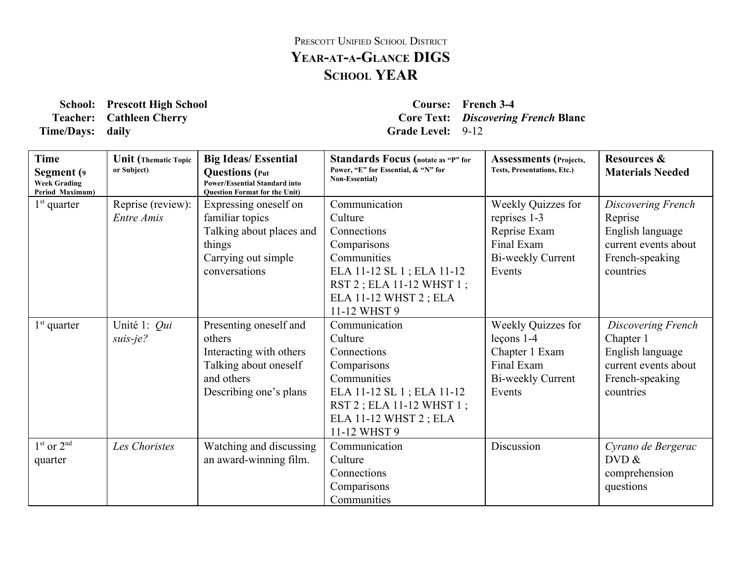## PRESCOTT UNIFIED SCHOOL DISTRICT **YEARATAGLANCE DIGS SCHOOL YEAR**

**School: Prescott High School Course: French 34 Time/Days:** daily **Grade** Level: 9-12

**Teacher: Cathleen Cherry Core Text:** *Discovering French* **Blanc**

| <b>Time</b><br>Segment (9<br><b>Week Grading</b><br>Period Maximum) | <b>Unit</b> (Thematic Topic<br>or Subject) | <b>Big Ideas/Essential</b><br><b>Questions</b> (Put<br><b>Power/Essential Standard into</b><br><b>Ouestion Format for the Unit)</b> | <b>Standards Focus</b> (notate as "P" for<br>Power, "E" for Essential, & "N" for<br><b>Non-Essential</b> ) | <b>Assessments</b> (Projects,<br><b>Tests, Presentations, Etc.)</b> | <b>Resources &amp;</b><br><b>Materials Needed</b> |
|---------------------------------------------------------------------|--------------------------------------------|-------------------------------------------------------------------------------------------------------------------------------------|------------------------------------------------------------------------------------------------------------|---------------------------------------------------------------------|---------------------------------------------------|
| $1st$ quarter                                                       | Reprise (review):<br>Entre Amis            | Expressing oneself on                                                                                                               | Communication<br>Culture                                                                                   | Weekly Quizzes for                                                  | Discovering French                                |
|                                                                     |                                            | familiar topics                                                                                                                     |                                                                                                            | reprises 1-3                                                        | Reprise                                           |
|                                                                     |                                            | Talking about places and                                                                                                            | Connections                                                                                                | Reprise Exam                                                        | English language                                  |
|                                                                     |                                            | things                                                                                                                              | Comparisons                                                                                                | Final Exam                                                          | current events about                              |
|                                                                     |                                            | Carrying out simple                                                                                                                 | Communities                                                                                                | Bi-weekly Current                                                   | French-speaking                                   |
|                                                                     |                                            | conversations                                                                                                                       | ELA 11-12 SL 1; ELA 11-12                                                                                  | Events                                                              | countries                                         |
|                                                                     |                                            |                                                                                                                                     | RST 2; ELA 11-12 WHST 1;                                                                                   |                                                                     |                                                   |
|                                                                     |                                            |                                                                                                                                     | ELA 11-12 WHST 2; ELA                                                                                      |                                                                     |                                                   |
|                                                                     |                                            |                                                                                                                                     | 11-12 WHST 9                                                                                               |                                                                     |                                                   |
| $1st$ quarter                                                       | Unité 1: Qui                               | Presenting oneself and                                                                                                              | Communication                                                                                              | Weekly Quizzes for                                                  | Discovering French                                |
|                                                                     | $suis-je?$                                 | others                                                                                                                              | Culture                                                                                                    | $lecons 1-4$                                                        | Chapter 1                                         |
|                                                                     |                                            | Interacting with others                                                                                                             | Connections                                                                                                | Chapter 1 Exam                                                      | English language                                  |
|                                                                     |                                            | Talking about oneself                                                                                                               | Comparisons                                                                                                | Final Exam                                                          | current events about                              |
|                                                                     |                                            | and others                                                                                                                          | Communities                                                                                                | Bi-weekly Current                                                   | French-speaking                                   |
|                                                                     |                                            | Describing one's plans                                                                                                              | ELA 11-12 SL 1; ELA 11-12                                                                                  | Events                                                              | countries                                         |
|                                                                     |                                            |                                                                                                                                     | RST 2; ELA 11-12 WHST 1;                                                                                   |                                                                     |                                                   |
|                                                                     |                                            |                                                                                                                                     | ELA 11-12 WHST 2; ELA                                                                                      |                                                                     |                                                   |
|                                                                     |                                            |                                                                                                                                     | 11-12 WHST 9                                                                                               |                                                                     |                                                   |
| $1st$ or $2nd$                                                      | Les Choristes                              | Watching and discussing                                                                                                             | Communication                                                                                              | Discussion                                                          | Cyrano de Bergerac                                |
| quarter                                                             |                                            | an award-winning film.                                                                                                              | Culture                                                                                                    |                                                                     | DVD &                                             |
|                                                                     |                                            |                                                                                                                                     | Connections                                                                                                |                                                                     | comprehension                                     |
|                                                                     |                                            |                                                                                                                                     | Comparisons                                                                                                |                                                                     | questions                                         |
|                                                                     |                                            |                                                                                                                                     | Communities                                                                                                |                                                                     |                                                   |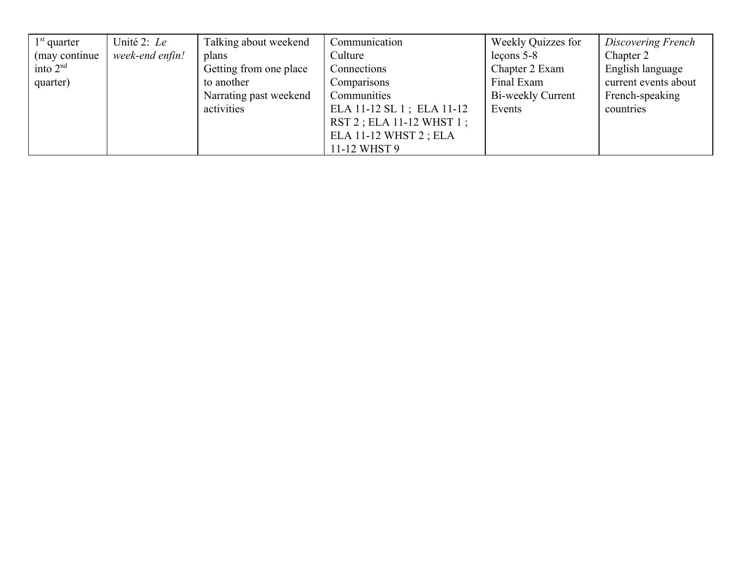| $1st$ quarter  | Unité 2: Le     | Talking about weekend  | Communication                | Weekly Quizzes for | Discovering French   |
|----------------|-----------------|------------------------|------------------------------|--------------------|----------------------|
| (may continue) | week-end enfin! | plans                  | Culture                      | $lecons 5-8$       | Chapter 2            |
| into $2nd$     |                 | Getting from one place | Connections                  | Chapter 2 Exam     | English language     |
| quarter)       |                 | to another             | Comparisons                  | Final Exam         | current events about |
|                |                 | Narrating past weekend | Communities                  | Bi-weekly Current  | French-speaking      |
|                |                 | activities             | ELA 11-12 SL 1; ELA 11-12    | Events             | countries            |
|                |                 |                        | $RST$ 2 ; ELA 11-12 WHST 1 ; |                    |                      |
|                |                 |                        | ELA 11-12 WHST 2; ELA        |                    |                      |
|                |                 |                        | 11-12 WHST 9                 |                    |                      |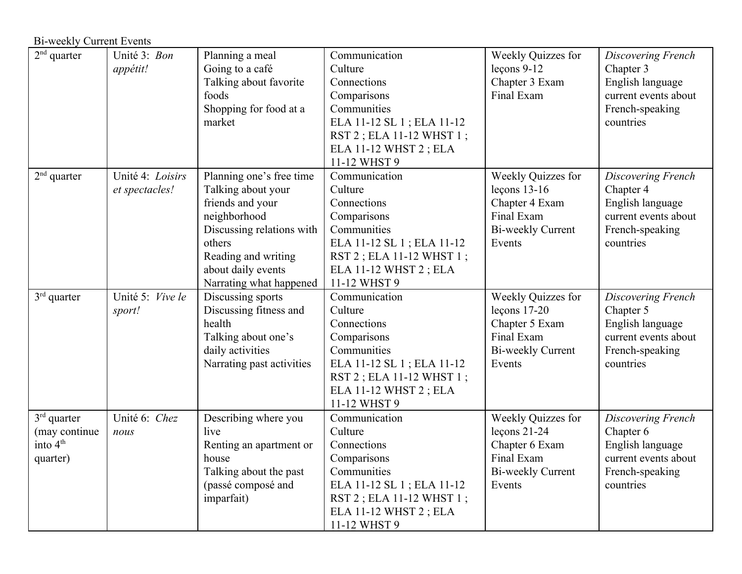| <b>Bi-weekly Current Events</b>                           |                                    |                                                                                                                                                                                                   |                                                                                                                                                                         |                                                                                                     |                                                                                                             |  |
|-----------------------------------------------------------|------------------------------------|---------------------------------------------------------------------------------------------------------------------------------------------------------------------------------------------------|-------------------------------------------------------------------------------------------------------------------------------------------------------------------------|-----------------------------------------------------------------------------------------------------|-------------------------------------------------------------------------------------------------------------|--|
| $2nd$ quarter                                             | Unité 3: Bon<br>appétit!           | Planning a meal<br>Going to a café<br>Talking about favorite<br>foods<br>Shopping for food at a<br>market                                                                                         | Communication<br>Culture<br>Connections<br>Comparisons<br>Communities<br>ELA 11-12 SL 1; ELA 11-12<br>RST 2; ELA 11-12 WHST 1;<br>ELA 11-12 WHST 2; ELA<br>11-12 WHST 9 | Weekly Quizzes for<br>$lecons 9-12$<br>Chapter 3 Exam<br>Final Exam                                 | Discovering French<br>Chapter 3<br>English language<br>current events about<br>French-speaking<br>countries |  |
| $2nd$ quarter                                             | Unité 4: Loisirs<br>et spectacles! | Planning one's free time<br>Talking about your<br>friends and your<br>neighborhood<br>Discussing relations with<br>others<br>Reading and writing<br>about daily events<br>Narrating what happened | Communication<br>Culture<br>Connections<br>Comparisons<br>Communities<br>ELA 11-12 SL 1; ELA 11-12<br>RST 2; ELA 11-12 WHST 1;<br>ELA 11-12 WHST 2; ELA<br>11-12 WHST 9 | Weekly Quizzes for<br>leçons $13-16$<br>Chapter 4 Exam<br>Final Exam<br>Bi-weekly Current<br>Events | Discovering French<br>Chapter 4<br>English language<br>current events about<br>French-speaking<br>countries |  |
| $3rd$ quarter                                             | Unité 5: Vive le<br>sport!         | Discussing sports<br>Discussing fitness and<br>health<br>Talking about one's<br>daily activities<br>Narrating past activities                                                                     | Communication<br>Culture<br>Connections<br>Comparisons<br>Communities<br>ELA 11-12 SL 1; ELA 11-12<br>RST 2; ELA 11-12 WHST 1;<br>ELA 11-12 WHST 2; ELA<br>11-12 WHST 9 | Weekly Quizzes for<br>$lecons$ 17-20<br>Chapter 5 Exam<br>Final Exam<br>Bi-weekly Current<br>Events | Discovering French<br>Chapter 5<br>English language<br>current events about<br>French-speaking<br>countries |  |
| $3rd$ quarter<br>(may continue)<br>into $4th$<br>quarter) | Unité 6: Chez<br>nous              | Describing where you<br>live<br>Renting an apartment or<br>house<br>Talking about the past<br>(passé composé and<br>imparfait)                                                                    | Communication<br>Culture<br>Connections<br>Comparisons<br>Communities<br>ELA 11-12 SL 1; ELA 11-12<br>RST 2; ELA 11-12 WHST 1;<br>ELA 11-12 WHST 2; ELA<br>11-12 WHST 9 | Weekly Quizzes for<br>$lecons 21-24$<br>Chapter 6 Exam<br>Final Exam<br>Bi-weekly Current<br>Events | Discovering French<br>Chapter 6<br>English language<br>current events about<br>French-speaking<br>countries |  |